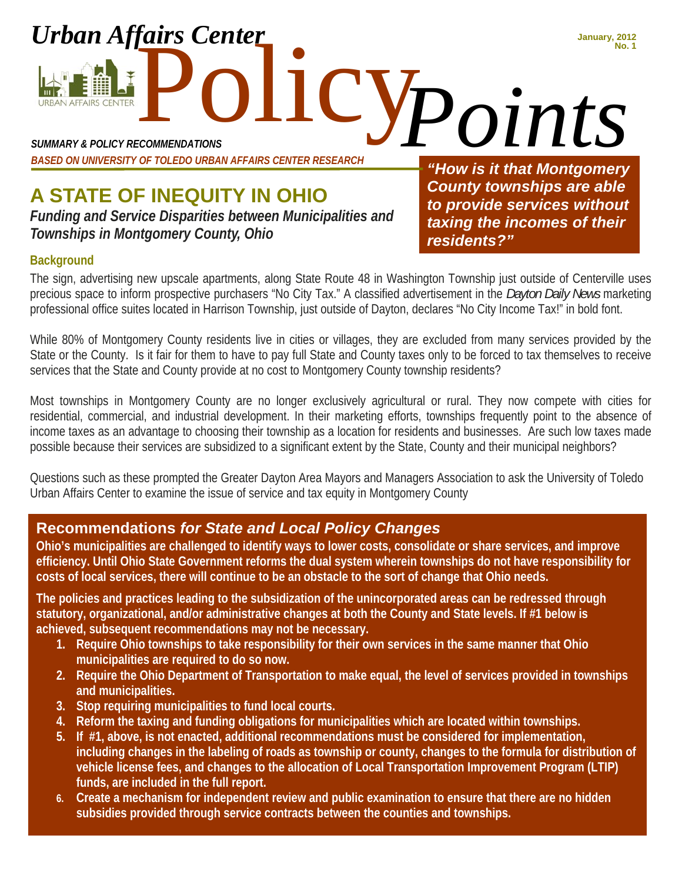Policy Points *SUMMARY & POLICY RECOMMENDATIONS BASED ON UNIVERSITY OF TOLEDO URBAN AFFAIRS CENTER RESEARCH* 

**A STATE OF INEQUITY IN OHIO**  *Funding and Service Disparities between Municipalities and* 

*Townships in Montgomery County, Ohio* 

*Urban Affairs Center* 

*"How is it that Montgomery County townships are able to provide services without taxing the incomes of their residents?" Points*

**January, 2012**

#### **Background**

**URBAN AFFAIRS CENTER** 

The sign, advertising new upscale apartments, along State Route 48 in Washington Township just outside of Centerville uses precious space to inform prospective purchasers "No City Tax." A classified advertisement in the *Dayton Daily News* marketing professional office suites located in Harrison Township, just outside of Dayton, declares "No City Income Tax!" in bold font.

While 80% of Montgomery County residents live in cities or villages, they are excluded from many services provided by the State or the County. Is it fair for them to have to pay full State and County taxes only to be forced to tax themselves to receive services that the State and County provide at no cost to Montgomery County township residents?

Most townships in Montgomery County are no longer exclusively agricultural or rural. They now compete with cities for residential, commercial, and industrial development. In their marketing efforts, townships frequently point to the absence of income taxes as an advantage to choosing their township as a location for residents and businesses. Are such low taxes made possible because their services are subsidized to a significant extent by the State, County and their municipal neighbors?

Questions such as these prompted the Greater Dayton Area Mayors and Managers Association to ask the University of Toledo Urban Affairs Center to examine the issue of service and tax equity in Montgomery County

## **Recommendations** *for State and Local Policy Changes*

**Ohio's municipalities are challenged to identify ways to lower costs, consolidate or share services, and improve efficiency. Until Ohio State Government reforms the dual system wherein townships do not have responsibility for costs of local services, there will continue to be an obstacle to the sort of change that Ohio needs.** 

**The policies and practices leading to the subsidization of the unincorporated areas can be redressed through statutory, organizational, and/or administrative changes at both the County and State levels. If #1 below is achieved, subsequent recommendations may not be necessary.** 

- **1. Require Ohio townships to take responsibility for their own services in the same manner that Ohio municipalities are required to do so now.**
- **2. Require the Ohio Department of Transportation to make equal, the level of services provided in townships and municipalities.**
- **3. Stop requiring municipalities to fund local courts.**
- **4. Reform the taxing and funding obligations for municipalities which are located within townships.**
- **5. If #1, above, is not enacted, additional recommendations must be considered for implementation, including changes in the labeling of roads as township or county, changes to the formula for distribution of vehicle license fees, and changes to the allocation of Local Transportation Improvement Program (LTIP) funds, are included in the full report.**
- **6. Create a mechanism for independent review and public examination to ensure that there are no hidden subsidies provided through service contracts between the counties and townships.**